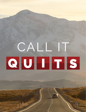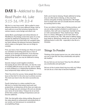## **DAY 1-** *Addicted to Busy*

### *Read Psalm 46, Luke 5:15-16, I Pt 3:3-4*

We live in a very busy world. We're pulled in many different directions by many different things. And as each pulls on us we find ourselves being busy for various reasons, some benign and others not.

Jaimie Bloch, psychologist and clinical director of MindMovers Psychology wrote that some of us may actually be addicted to keeping busy. This may be influenced by the fact that when we complete tasks, our brain releases the pleasure hormone dopamine, which makes us feel good. Here are six things to consider.

First, you have a fear of missing out. Many of us pack our schedules to bursting point due to a fear of missing out or being unproductive. If you become anxious at the thought of slowing down and not getting things done, you may be addicted to being busy.

Second, trying to avoid negative emotions. Occupying all your time with tasks, can also be a way of avoiding difficult issues in your life, such as family or work problems or a relationship breakdown. Being busy temporarily helps redirect your focus.

Third, You strive for success. Some people like to keep busy as they feel it is the only way to achieve success. The more you have to do, the more successful you feel.

Fourth, being busy is a status symbol for you. We live in a society that praises hard work and productivity, so being busy all the time can make you feel as though you are winning in life and can elevate your sense of social status. Trying to be at our best all the time creates a feeling of importance and can become addictive.

Fifth, You feel guilty when doing nothing. Because of the value placed on achievement and productivity in our society, we feel pressure to constantly be accomplishing things.

Sixth, you're bad at relaxing. People addicted to being busy are often bad at relaxing, as they may feel anxious and guilty at being unproductive. We forget how to simply relax and can actually become stressed by working hard to relax.

If you can relate to these signs of being overbusy, and you are using a packed schedule to avoid issues or emotions, then self-care is important. God did not list an 11th commandment "Thou shalt be busy". Being busy is a choice. Although it can be hard, there are times we need to say "No!". We need to address being busy head on. Being busy should not, nor ever be THE defining factor in one's life - especially in the life of a Christian.

#### Things To Ponder

Thinking of the busiest person you can, what traits do you see in their life? Are they emotionally and spiritually healthy?

Do you feel you are too busy? How has this affected you emotionally and spiritually?

Did any of the 6 points listed ring true with you? What can you do as a next step to become healthier?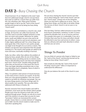### **DAY 2-** *Busy Chasing the Church*

Church burnout. It's an "elephant in the room" topic that isn't addressed enough. And it's not just those that work on staff for a church that can suffer from this, but volunteers also. Many great Christian people forget or fail to see the "work of the church" and become burned out by being too busy doing "church work".

Church burnout is not limited to a church's size, small or large, all churches can suffer from burnout. All churches want to provide multiple ministries so that they can reach more people. Ministries for adults, teens, youth and children are just a few and to do the work they will ask for and recruit volunteers, and if able, higher additional staff. For a time things may seem good. But, if the church is not careful, people can begin to be thought of as an end to a means. The ministry can become more important than the people working in it. The result is that people are asked to do more and more, eventually resulting in burnout.

Sadly, too often, rather than address the problem of being too busy, people often do one of two things. Either they drop everything and do no ministry work. They're still attending church, but they have stepped back from "church work". Another thing people do when they are burned out is they leave the church. They may begin attending somewhere else or may stop attending church completely. None of which is really a healthy response.

Okay. I've painted a dark picture of church burnout, so let's look at how a church can avoid it. To do this, there are a few general guidelines. First, the church needs to set limits for ministries and people. You can do many things poorly or do fewer things well. It's about quality over quantity. This was what Jethro addressed with Moses in Exodus 18.

Second, everyone from church leaders and staff to volunteers, must never put the ministry above people. People must never be viewed as tools who can be replaced through prayer. People can only do so much and if the ministry is to grow then we pray for more "harvesters" before we overextend the current people. I know there is a certain element of "stepping out in faith", but the church needs to make sure it's God who's speaking first.

Are you busy chasing the church? Just be sure that you're about doing the "work of the church" and not just "church work". Choose one of two ministries where you feel God is calling you to serve. Then, by doing fewer things, you'll be able to do better things. The success of Jesus' church is not on your or my shoulders.

One last thing. God has called everyone to serve their local church somewhere, somehow. In John 13 Jesus washed his disciples feet, an act of service and love. The example Jesus gave us is undeniable, if you are a Christian then your love for Jesus and others should be reflected in your love and service to others. I pray that you will pray and seek God's direction in where and how you can serve.

#### Things To Ponder

Can you think of a person who forgot or failed to see the "work of the church" and become burned out by being too busy doing "church work"?

How would you describe the "work of the church" VS doing "church work"? Why is it important to understand the difference?

How do you balance the work of the church in your life?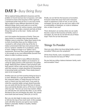### **DAY 3-** *Busy Being Busy*

We've explored being addicted to busyness and the problem of church burnout due to busyness. Let's take a moment to look at the busyness of life in general. I mentioned earlier that we live in a very busy world. We're pulled in many different directions by many different things. And as each pulls on us we find ourselves being busy for various reasons, some benign and others not. Let's take a moment and look at three things that pull on us the most - family, work and recreation.

Let's first explore the busyness of family. There are many factors to consider when discussing family. Children come to mind first. Today there seems to be no limit of activities there are for children to be involved in, with school at the top of the list. In today's environment kids face more pressure than ever to "achieve", whether it's in academics, sports, or both. College no longer is an "option", but a requirement. And even then simply going to college is not enough as you must differentiate yourself from others in order to achieve success.

Parents are also pulled in many different directions. From the activities their children are involved in, to caring for aging parents as life expectancy has gotten longer. Balancing their children's sport practices with their parents' doctor visits and also trying to find time with their spouse or simply downtime for themselves is becoming harder and harder. There simply doesn't seem to be enough time.

Another area we can find ourselves being too busy in is work. Whether it's to get ahead financially, climb the corporate ladder, or simply because we love our work, or there's just too much work. If you work to climb the corporate ladder and get ahead financially, you can easily fall into the trap of the love of money. Jesus warned his disciples and us of the love of money when he said, ""No one can serve two masters. Either you will hate the one and love the other, or you will be devoted to the one and despise the other. You cannot serve both God and money." (Mt 6:24, Lk 16:13).

But, you can also begin to enjoy your work too much or fall into the trap of too much work. In this example, work will either become your god or your master. Neither is desirable. Neither is healthy. Neither glorifies God.

Finally, we can fall into the busyness of recreation. Everyone needs time away from work. Everyone needs to experience a time of rest, so one can be recharged. Let me ask, do you own your cabin or RV or snowmobile or timeshare, or cruise or whatever else, or does it own you?

There obviously is an overlap where we can easily become a slave to the busyness of family, work or recreation. So, how do we not fall into any of these traps? That's for our last discussion.

#### Things To Ponder

Have you seen others too busy doing family, work or recreation? What were the symptoms?

Of the three (family, work, recreation), which is easiest for you to become too busy at? Why?

Do you feel you strike a balance between family, work and recreation? How?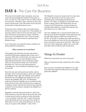### **DAY 4-** *The Cure For Busyness*

This may be the hardest topic to explore, since we must first acknowledge the problem of busyness in one's own life. It's a lot easier to see it in others than it is in ourselves. Therefore, take a moment to pray. Ask God to reveal areas in your life where you're too busy and ask him to help show them to you.

If busyness were a disease, then we would want to find its root cause so we could cure it. The problem of busyness doesn't seem to have one root cause. In the area of busyness each person is unique. Therefore allow me to not identify the "why" of our busyness, but to talk on the topic of how to step back from being too busy.

In our first lesson, we explored various symptoms of being addicted to being busy.

#### **(Take a moment to re-read them)**

Most people who feel they are busy and anxious would find themselves aligning with at least one, if not more. With this in mind it does not mean you are addicted as much as you have leanings or have dispositional tendencies. Fancy words that simply mean you find yourself saying "Yes. That kind of describes me". Once you see what busyness is controlling you, you're halfway to breaking its grip on your life.

Now this next part will sound very familiar, almost too basic, but it is the best place to start. Let's explore the Sabbath. That's right, the Sabbath. Jesus told the Pharisees that "the Sabbath was made for man, not man for the Sabbath" (Mk 2:27). The Pharisees understood that the Sabbath was for mankind to take time and cease from work. But they got so caught up in defining "work", that they lost track of why God had created it in the first place. God gave the Sabbath as a gift for mankind.

Regardless of which day of the week it is, don't you look forward to a day off? We all need a day off. A day to break away from the routines of work and family - even recreation. That day "off" is a gift. God knows and understands that we cannot burn the candle at both ends. If we do, we'll eventually burn out. So, to save us, he gave us the Sabbath - a day of rest.

The Sabbath is not just to cease work for a day, but a day to rest. But what is rest? For some, rest is watching sports and sleeping all afternoon on Sunday. For others, it's going for a long walk in the forest or along a beach. And while these are not wrong in and of themselves, as they do help one recharge their batteries, I would offer that the rest God wants for us is a little more.

True rest, Sabbath rest, is not just for the body, but also the soul. We find examples of this where we read "be still" followed by a reference to God (Ps 37:7, 46:10). To "be still" is to allow your mind and spirit to focus and meditate on God. As the old saying goes "If you're too busy to pray, you're too busy". Take some time now. Find a quiet place where you can be still and allow God to refill you with his presence.

#### Things To Ponder

Where has God shown you you're too busy?

Why is it important to take a break from the routines of life?

Have you ever considered the Sabbath to be a gift from God? How does this affect how you normally spend the Sabbath?